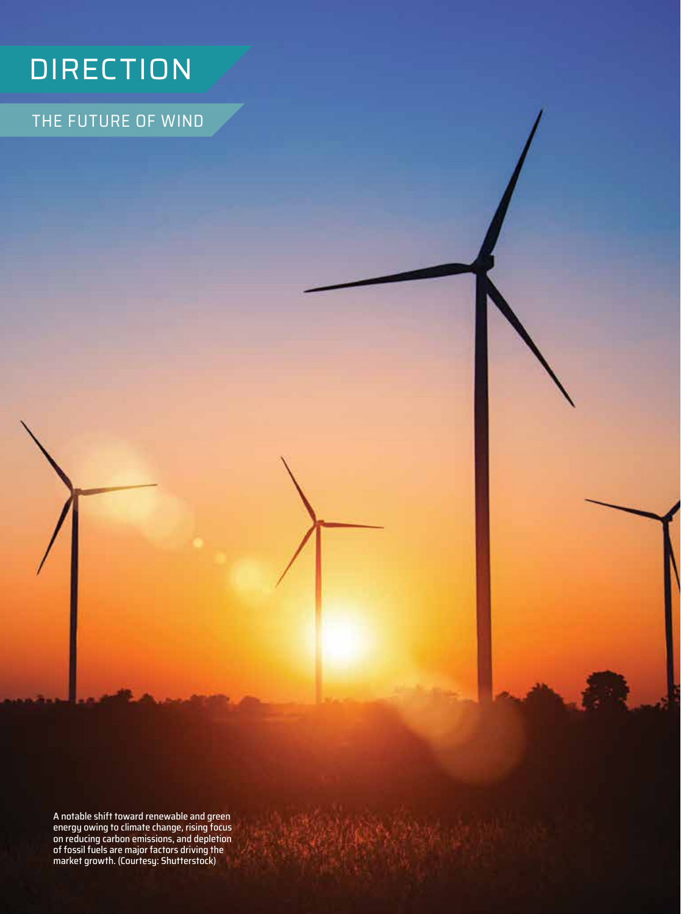## **DIRECTION**

THE FUTURE OF WIND

A notable shift toward renewable and green energy owing to climate change, rising focus on reducing carbon emissions, and depletion of fossil fuels are major factors driving the market growth. (Courtesy: Shutterstock)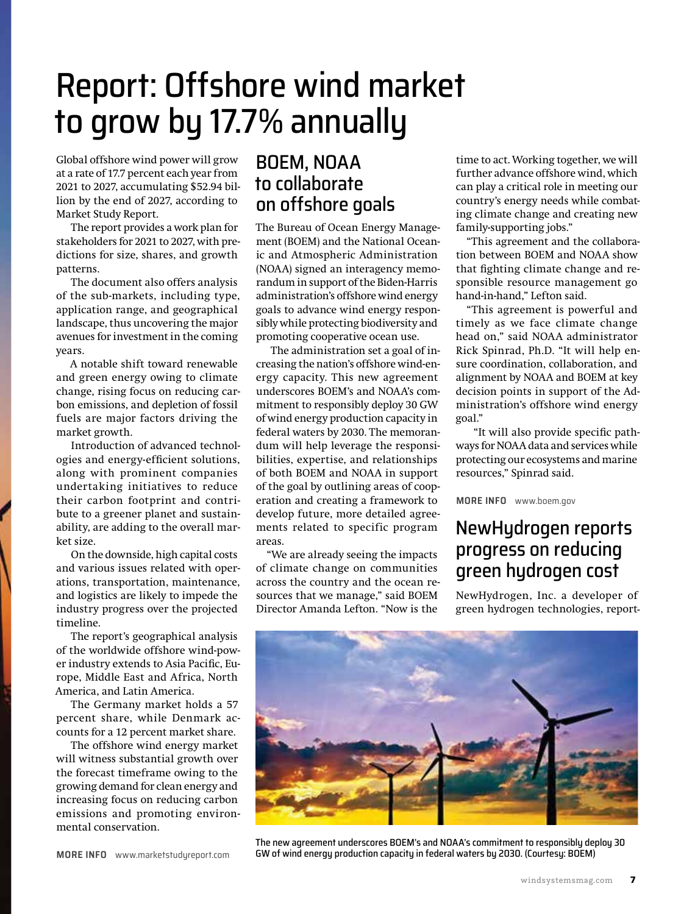## Report: Offshore wind market to grow by 17.7% annually

Global offshore wind power will grow at a rate of 17.7 percent each year from 2021 to 2027, accumulating \$52.94 billion by the end of 2027, according to Market Study Report.

The report provides a work plan for stakeholders for 2021 to 2027, with predictions for size, shares, and growth patterns.

The document also offers analysis of the sub-markets, including type, application range, and geographical landscape, thus uncovering the major avenues for investment in the coming years.

A notable shift toward renewable and green energy owing to climate change, rising focus on reducing carbon emissions, and depletion of fossil fuels are major factors driving the market growth.

Introduction of advanced technologies and energy-efficient solutions, along with prominent companies undertaking initiatives to reduce their carbon footprint and contribute to a greener planet and sustainability, are adding to the overall market size.

On the downside, high capital costs and various issues related with operations, transportation, maintenance, and logistics are likely to impede the industry progress over the projected timeline.

The report's geographical analysis of the worldwide offshore wind-power industry extends to Asia Pacific, Europe, Middle East and Africa, North America, and Latin America.

The Germany market holds a 57 percent share, while Denmark accounts for a 12 percent market share.

The offshore wind energy market will witness substantial growth over the forecast timeframe owing to the growing demand for clean energy and increasing focus on reducing carbon emissions and promoting environmental conservation.

BOEM, NOAA to collaborate on offshore goals

The Bureau of Ocean Energy Management (BOEM) and the National Oceanic and Atmospheric Administration (NOAA) signed an interagency memorandum in support of the Biden-Harris administration's offshore wind energy goals to advance wind energy responsibly while protecting biodiversity and promoting cooperative ocean use.

The administration set a goal of increasing the nation's offshore wind-energy capacity. This new agreement underscores BOEM's and NOAA's commitment to responsibly deploy 30 GW of wind energy production capacity in federal waters by 2030. The memorandum will help leverage the responsibilities, expertise, and relationships of both BOEM and NOAA in support of the goal by outlining areas of cooperation and creating a framework to develop future, more detailed agreements related to specific program areas.

"We are already seeing the impacts of climate change on communities across the country and the ocean resources that we manage," said BOEM Director Amanda Lefton. "Now is the

time to act. Working together, we will further advance offshore wind, which can play a critical role in meeting our country's energy needs while combating climate change and creating new family-supporting jobs."

"This agreement and the collaboration between BOEM and NOAA show that fighting climate change and responsible resource management go hand-in-hand," Lefton said.

"This agreement is powerful and timely as we face climate change head on," said NOAA administrator Rick Spinrad, Ph.D. "It will help ensure coordination, collaboration, and alignment by NOAA and BOEM at key decision points in support of the Administration's offshore wind energy goal."

 "It will also provide specific pathways for NOAA data and services while protecting our ecosystems and marine resources," Spinrad said.

**MORE INFO** [www.boem.gov](http://www.boem.gov)

## NewHydrogen reports progress on reducing green hydrogen cost

NewHydrogen, Inc. a developer of green hydrogen technologies, report-



The new agreement underscores BOEM's and NOAA's commitment to responsibly deploy 30 GW of wind energy production capacity in federal waters by 2030. (Courtesy: BOEM)

**MORE INFO** [www.marketstudyreport.com](http://www.marketstudyreport.com)